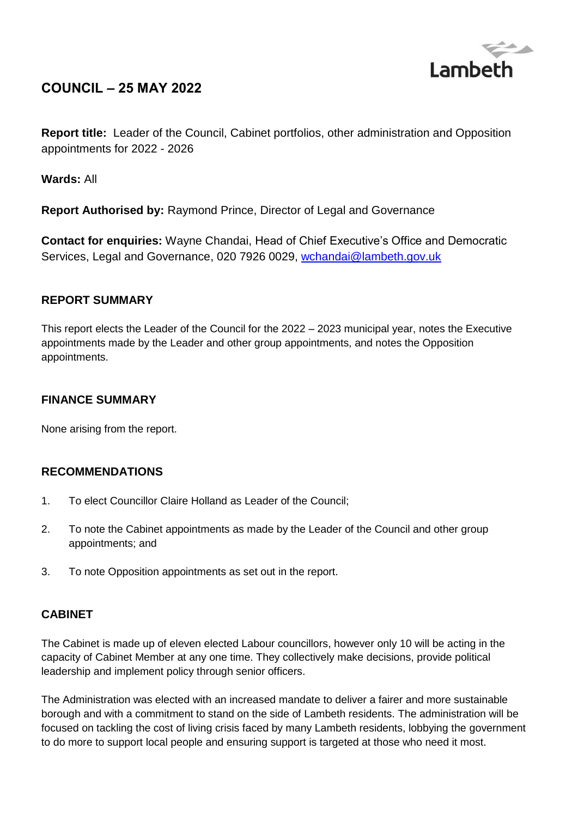

# **COUNCIL – 25 MAY 2022**

**Report title:** Leader of the Council, Cabinet portfolios, other administration and Opposition appointments for 2022 - 2026

**Wards:** All

**Report Authorised by:** Raymond Prince, Director of Legal and Governance

**Contact for enquiries:** Wayne Chandai, Head of Chief Executive's Office and Democratic Services, Legal and Governance, 020 7926 0029, [wchandai@lambeth.gov.uk](mailto:wchandai@lambeth.gov.uk)

# **REPORT SUMMARY**

This report elects the Leader of the Council for the 2022 – 2023 municipal year, notes the Executive appointments made by the Leader and other group appointments, and notes the Opposition appointments.

# **FINANCE SUMMARY**

None arising from the report.

# **RECOMMENDATIONS**

- 1. To elect Councillor Claire Holland as Leader of the Council;
- 2. To note the Cabinet appointments as made by the Leader of the Council and other group appointments; and
- 3. To note Opposition appointments as set out in the report.

# **CABINET**

The Cabinet is made up of eleven elected Labour councillors, however only 10 will be acting in the capacity of Cabinet Member at any one time. They collectively make decisions, provide political leadership and implement policy through senior officers.

The Administration was elected with an increased mandate to deliver a fairer and more sustainable borough and with a commitment to stand on the side of Lambeth residents. The administration will be focused on tackling the cost of living crisis faced by many Lambeth residents, lobbying the government to do more to support local people and ensuring support is targeted at those who need it most.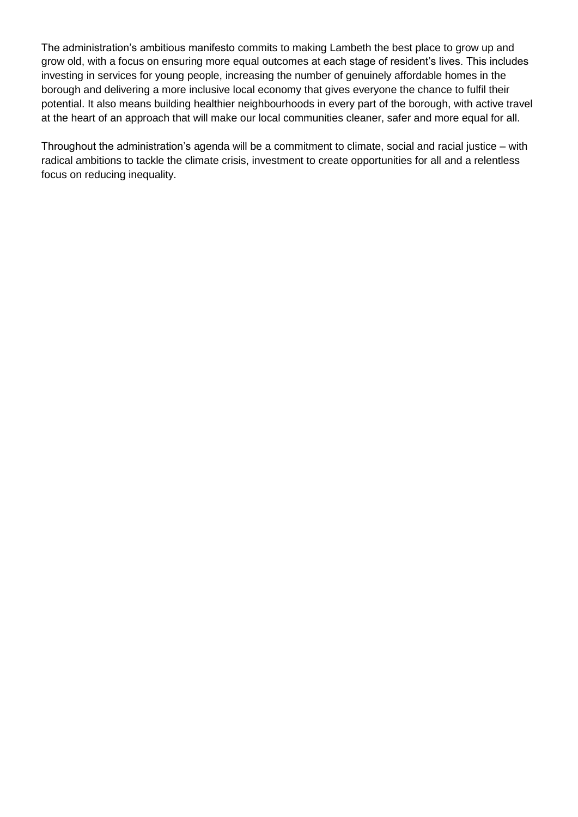The administration's ambitious manifesto commits to making Lambeth the best place to grow up and grow old, with a focus on ensuring more equal outcomes at each stage of resident's lives. This includes investing in services for young people, increasing the number of genuinely affordable homes in the borough and delivering a more inclusive local economy that gives everyone the chance to fulfil their potential. It also means building healthier neighbourhoods in every part of the borough, with active travel at the heart of an approach that will make our local communities cleaner, safer and more equal for all.

Throughout the administration's agenda will be a commitment to climate, social and racial justice – with radical ambitions to tackle the climate crisis, investment to create opportunities for all and a relentless focus on reducing inequality.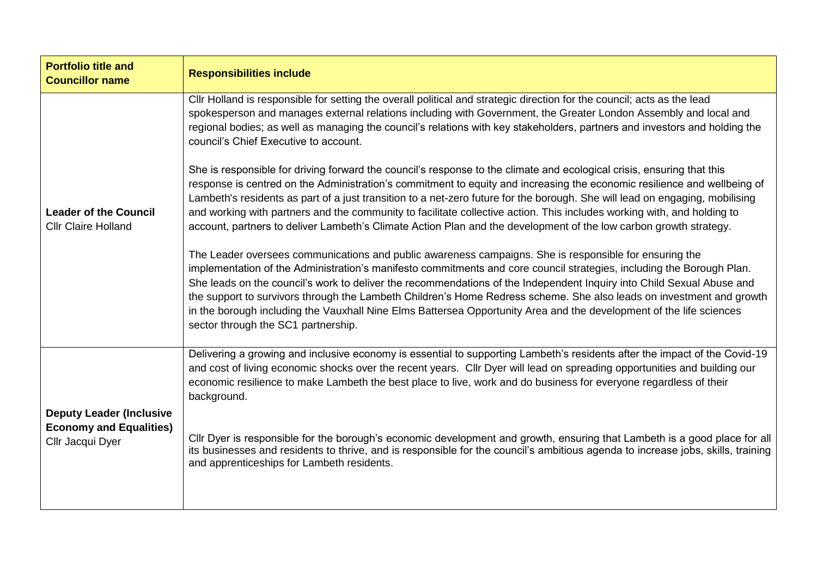| <b>Portfolio title and</b><br><b>Councillor name</b>                                  | <b>Responsibilities include</b>                                                                                                                                                                                                                                                                                                                                                                                                                                                                                                                                                                                                                |
|---------------------------------------------------------------------------------------|------------------------------------------------------------------------------------------------------------------------------------------------------------------------------------------------------------------------------------------------------------------------------------------------------------------------------------------------------------------------------------------------------------------------------------------------------------------------------------------------------------------------------------------------------------------------------------------------------------------------------------------------|
|                                                                                       | Cllr Holland is responsible for setting the overall political and strategic direction for the council; acts as the lead<br>spokesperson and manages external relations including with Government, the Greater London Assembly and local and<br>regional bodies; as well as managing the council's relations with key stakeholders, partners and investors and holding the<br>council's Chief Executive to account.                                                                                                                                                                                                                             |
| <b>Leader of the Council</b><br><b>Cllr Claire Holland</b>                            | She is responsible for driving forward the council's response to the climate and ecological crisis, ensuring that this<br>response is centred on the Administration's commitment to equity and increasing the economic resilience and wellbeing of<br>Lambeth's residents as part of a just transition to a net-zero future for the borough. She will lead on engaging, mobilising<br>and working with partners and the community to facilitate collective action. This includes working with, and holding to<br>account, partners to deliver Lambeth's Climate Action Plan and the development of the low carbon growth strategy.             |
|                                                                                       | The Leader oversees communications and public awareness campaigns. She is responsible for ensuring the<br>implementation of the Administration's manifesto commitments and core council strategies, including the Borough Plan.<br>She leads on the council's work to deliver the recommendations of the Independent Inquiry into Child Sexual Abuse and<br>the support to survivors through the Lambeth Children's Home Redress scheme. She also leads on investment and growth<br>in the borough including the Vauxhall Nine Elms Battersea Opportunity Area and the development of the life sciences<br>sector through the SC1 partnership. |
|                                                                                       | Delivering a growing and inclusive economy is essential to supporting Lambeth's residents after the impact of the Covid-19<br>and cost of living economic shocks over the recent years. Cllr Dyer will lead on spreading opportunities and building our<br>economic resilience to make Lambeth the best place to live, work and do business for everyone regardless of their<br>background.                                                                                                                                                                                                                                                    |
| <b>Deputy Leader (Inclusive</b><br><b>Economy and Equalities)</b><br>Cllr Jacqui Dyer | Cllr Dyer is responsible for the borough's economic development and growth, ensuring that Lambeth is a good place for all<br>its businesses and residents to thrive, and is responsible for the council's ambitious agenda to increase jobs, skills, training<br>and apprenticeships for Lambeth residents.                                                                                                                                                                                                                                                                                                                                    |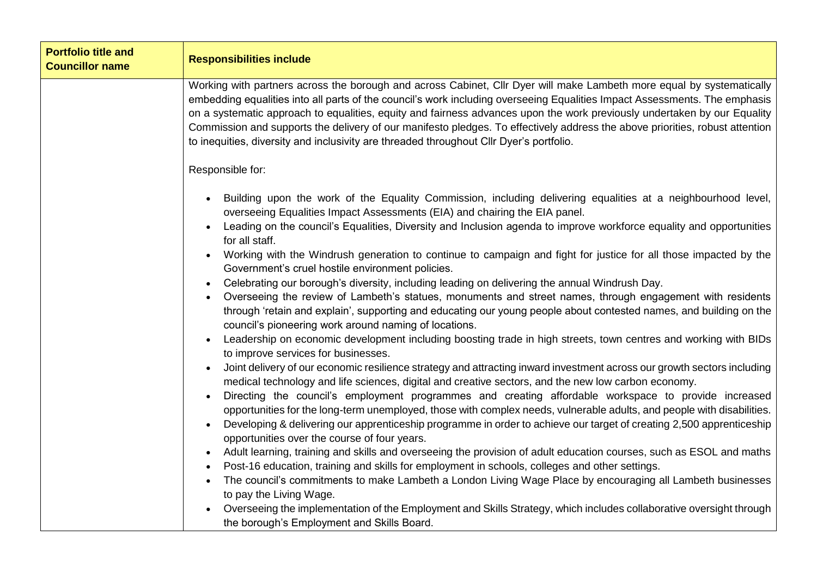| <b>Portfolio title and</b><br><b>Councillor name</b> | <b>Responsibilities include</b>                                                                                                                                                                                                                                                                                                                                                                                                                                                                                                                                                                            |
|------------------------------------------------------|------------------------------------------------------------------------------------------------------------------------------------------------------------------------------------------------------------------------------------------------------------------------------------------------------------------------------------------------------------------------------------------------------------------------------------------------------------------------------------------------------------------------------------------------------------------------------------------------------------|
|                                                      | Working with partners across the borough and across Cabinet, Cllr Dyer will make Lambeth more equal by systematically<br>embedding equalities into all parts of the council's work including overseeing Equalities Impact Assessments. The emphasis<br>on a systematic approach to equalities, equity and fairness advances upon the work previously undertaken by our Equality<br>Commission and supports the delivery of our manifesto pledges. To effectively address the above priorities, robust attention<br>to inequities, diversity and inclusivity are threaded throughout Cllr Dyer's portfolio. |
|                                                      | Responsible for:                                                                                                                                                                                                                                                                                                                                                                                                                                                                                                                                                                                           |
|                                                      | Building upon the work of the Equality Commission, including delivering equalities at a neighbourhood level,<br>overseeing Equalities Impact Assessments (EIA) and chairing the EIA panel.                                                                                                                                                                                                                                                                                                                                                                                                                 |
|                                                      | Leading on the council's Equalities, Diversity and Inclusion agenda to improve workforce equality and opportunities<br>for all staff.                                                                                                                                                                                                                                                                                                                                                                                                                                                                      |
|                                                      | Working with the Windrush generation to continue to campaign and fight for justice for all those impacted by the<br>Government's cruel hostile environment policies.                                                                                                                                                                                                                                                                                                                                                                                                                                       |
|                                                      | Celebrating our borough's diversity, including leading on delivering the annual Windrush Day.                                                                                                                                                                                                                                                                                                                                                                                                                                                                                                              |
|                                                      | Overseeing the review of Lambeth's statues, monuments and street names, through engagement with residents<br>through 'retain and explain', supporting and educating our young people about contested names, and building on the<br>council's pioneering work around naming of locations.                                                                                                                                                                                                                                                                                                                   |
|                                                      | Leadership on economic development including boosting trade in high streets, town centres and working with BIDs<br>to improve services for businesses.                                                                                                                                                                                                                                                                                                                                                                                                                                                     |
|                                                      | Joint delivery of our economic resilience strategy and attracting inward investment across our growth sectors including<br>medical technology and life sciences, digital and creative sectors, and the new low carbon economy.                                                                                                                                                                                                                                                                                                                                                                             |
|                                                      | Directing the council's employment programmes and creating affordable workspace to provide increased<br>opportunities for the long-term unemployed, those with complex needs, vulnerable adults, and people with disabilities.                                                                                                                                                                                                                                                                                                                                                                             |
|                                                      | Developing & delivering our apprenticeship programme in order to achieve our target of creating 2,500 apprenticeship<br>opportunities over the course of four years.                                                                                                                                                                                                                                                                                                                                                                                                                                       |
|                                                      | Adult learning, training and skills and overseeing the provision of adult education courses, such as ESOL and maths<br>$\bullet$                                                                                                                                                                                                                                                                                                                                                                                                                                                                           |
|                                                      | Post-16 education, training and skills for employment in schools, colleges and other settings.                                                                                                                                                                                                                                                                                                                                                                                                                                                                                                             |
|                                                      | The council's commitments to make Lambeth a London Living Wage Place by encouraging all Lambeth businesses<br>to pay the Living Wage.                                                                                                                                                                                                                                                                                                                                                                                                                                                                      |
|                                                      | Overseeing the implementation of the Employment and Skills Strategy, which includes collaborative oversight through<br>the borough's Employment and Skills Board.                                                                                                                                                                                                                                                                                                                                                                                                                                          |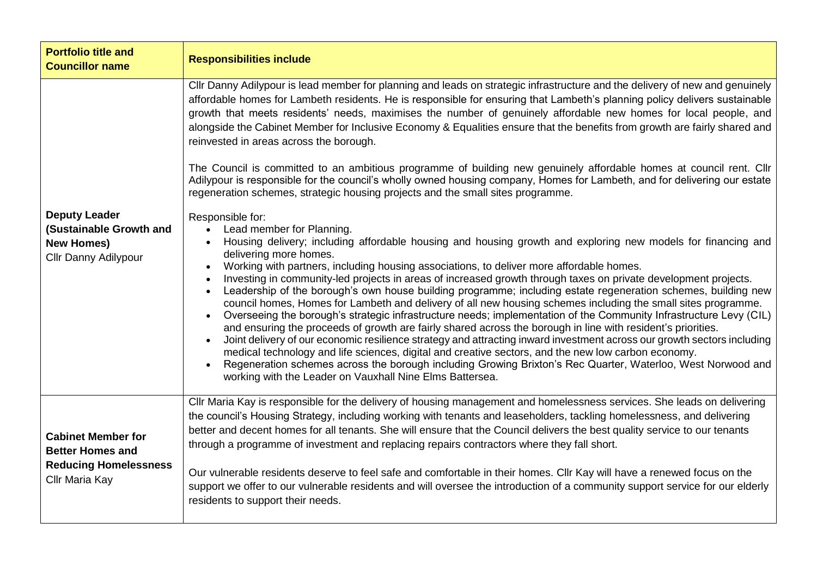| <b>Portfolio title and</b><br><b>Councillor name</b>                                                   | <b>Responsibilities include</b>                                                                                                                                                                                                                                                                                                                                                                                                                                                                                                                                                                                                                                                                                                                                                                                                                                                                                                                                                                                                                                                                                                                                                                                                                                                                                                                                                                                                                                                                                                                                                                                                                                                                                                                                                                                                                                                                                                                                                                                                                                                                                                                                                                                                      |
|--------------------------------------------------------------------------------------------------------|--------------------------------------------------------------------------------------------------------------------------------------------------------------------------------------------------------------------------------------------------------------------------------------------------------------------------------------------------------------------------------------------------------------------------------------------------------------------------------------------------------------------------------------------------------------------------------------------------------------------------------------------------------------------------------------------------------------------------------------------------------------------------------------------------------------------------------------------------------------------------------------------------------------------------------------------------------------------------------------------------------------------------------------------------------------------------------------------------------------------------------------------------------------------------------------------------------------------------------------------------------------------------------------------------------------------------------------------------------------------------------------------------------------------------------------------------------------------------------------------------------------------------------------------------------------------------------------------------------------------------------------------------------------------------------------------------------------------------------------------------------------------------------------------------------------------------------------------------------------------------------------------------------------------------------------------------------------------------------------------------------------------------------------------------------------------------------------------------------------------------------------------------------------------------------------------------------------------------------------|
| <b>Deputy Leader</b><br>(Sustainable Growth and<br><b>New Homes)</b><br>Cllr Danny Adilypour           | Cllr Danny Adilypour is lead member for planning and leads on strategic infrastructure and the delivery of new and genuinely<br>affordable homes for Lambeth residents. He is responsible for ensuring that Lambeth's planning policy delivers sustainable<br>growth that meets residents' needs, maximises the number of genuinely affordable new homes for local people, and<br>alongside the Cabinet Member for Inclusive Economy & Equalities ensure that the benefits from growth are fairly shared and<br>reinvested in areas across the borough.<br>The Council is committed to an ambitious programme of building new genuinely affordable homes at council rent. Cllr<br>Adilypour is responsible for the council's wholly owned housing company, Homes for Lambeth, and for delivering our estate<br>regeneration schemes, strategic housing projects and the small sites programme.<br>Responsible for:<br>Lead member for Planning.<br>$\bullet$<br>Housing delivery; including affordable housing and housing growth and exploring new models for financing and<br>$\bullet$<br>delivering more homes.<br>Working with partners, including housing associations, to deliver more affordable homes.<br>Investing in community-led projects in areas of increased growth through taxes on private development projects.<br>Leadership of the borough's own house building programme; including estate regeneration schemes, building new<br>council homes, Homes for Lambeth and delivery of all new housing schemes including the small sites programme.<br>Overseeing the borough's strategic infrastructure needs; implementation of the Community Infrastructure Levy (CIL)<br>$\bullet$<br>and ensuring the proceeds of growth are fairly shared across the borough in line with resident's priorities.<br>Joint delivery of our economic resilience strategy and attracting inward investment across our growth sectors including<br>medical technology and life sciences, digital and creative sectors, and the new low carbon economy.<br>Regeneration schemes across the borough including Growing Brixton's Rec Quarter, Waterloo, West Norwood and<br>working with the Leader on Vauxhall Nine Elms Battersea. |
| <b>Cabinet Member for</b><br><b>Better Homes and</b><br><b>Reducing Homelessness</b><br>Cllr Maria Kay | Cllr Maria Kay is responsible for the delivery of housing management and homelessness services. She leads on delivering<br>the council's Housing Strategy, including working with tenants and leaseholders, tackling homelessness, and delivering<br>better and decent homes for all tenants. She will ensure that the Council delivers the best quality service to our tenants<br>through a programme of investment and replacing repairs contractors where they fall short.<br>Our vulnerable residents deserve to feel safe and comfortable in their homes. Cllr Kay will have a renewed focus on the<br>support we offer to our vulnerable residents and will oversee the introduction of a community support service for our elderly<br>residents to support their needs.                                                                                                                                                                                                                                                                                                                                                                                                                                                                                                                                                                                                                                                                                                                                                                                                                                                                                                                                                                                                                                                                                                                                                                                                                                                                                                                                                                                                                                                       |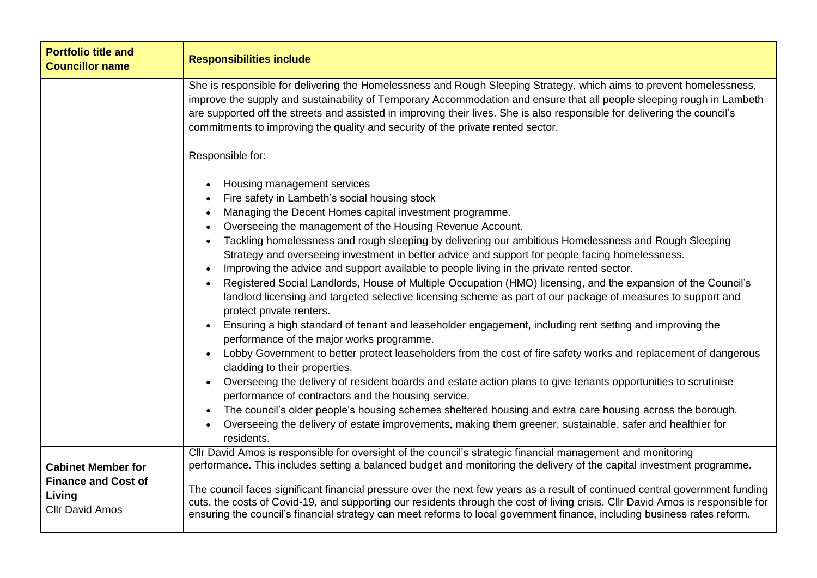| <b>Portfolio title and</b><br><b>Councillor name</b>                                        | <b>Responsibilities include</b>                                                                                                                                                                                                                                                                                                                                                                                                                                                                                                                                                                                                                                                                                                                                                                                                                                                                                                                                                                                                                                                                                                                                                                                                                                                                                                                                                                 |
|---------------------------------------------------------------------------------------------|-------------------------------------------------------------------------------------------------------------------------------------------------------------------------------------------------------------------------------------------------------------------------------------------------------------------------------------------------------------------------------------------------------------------------------------------------------------------------------------------------------------------------------------------------------------------------------------------------------------------------------------------------------------------------------------------------------------------------------------------------------------------------------------------------------------------------------------------------------------------------------------------------------------------------------------------------------------------------------------------------------------------------------------------------------------------------------------------------------------------------------------------------------------------------------------------------------------------------------------------------------------------------------------------------------------------------------------------------------------------------------------------------|
|                                                                                             | She is responsible for delivering the Homelessness and Rough Sleeping Strategy, which aims to prevent homelessness,<br>improve the supply and sustainability of Temporary Accommodation and ensure that all people sleeping rough in Lambeth<br>are supported off the streets and assisted in improving their lives. She is also responsible for delivering the council's<br>commitments to improving the quality and security of the private rented sector.                                                                                                                                                                                                                                                                                                                                                                                                                                                                                                                                                                                                                                                                                                                                                                                                                                                                                                                                    |
|                                                                                             | Responsible for:<br>Housing management services<br>Fire safety in Lambeth's social housing stock<br>Managing the Decent Homes capital investment programme.<br>Overseeing the management of the Housing Revenue Account.<br>Tackling homelessness and rough sleeping by delivering our ambitious Homelessness and Rough Sleeping<br>Strategy and overseeing investment in better advice and support for people facing homelessness.<br>Improving the advice and support available to people living in the private rented sector.<br>Registered Social Landlords, House of Multiple Occupation (HMO) licensing, and the expansion of the Council's<br>landlord licensing and targeted selective licensing scheme as part of our package of measures to support and<br>protect private renters.<br>Ensuring a high standard of tenant and leaseholder engagement, including rent setting and improving the<br>performance of the major works programme.<br>Lobby Government to better protect leaseholders from the cost of fire safety works and replacement of dangerous<br>cladding to their properties.<br>Overseeing the delivery of resident boards and estate action plans to give tenants opportunities to scrutinise<br>performance of contractors and the housing service.<br>The council's older people's housing schemes sheltered housing and extra care housing across the borough. |
|                                                                                             | Overseeing the delivery of estate improvements, making them greener, sustainable, safer and healthier for<br>residents.                                                                                                                                                                                                                                                                                                                                                                                                                                                                                                                                                                                                                                                                                                                                                                                                                                                                                                                                                                                                                                                                                                                                                                                                                                                                         |
| <b>Cabinet Member for</b><br><b>Finance and Cost of</b><br>Living<br><b>Cllr David Amos</b> | Cllr David Amos is responsible for oversight of the council's strategic financial management and monitoring<br>performance. This includes setting a balanced budget and monitoring the delivery of the capital investment programme.<br>The council faces significant financial pressure over the next few years as a result of continued central government funding<br>cuts, the costs of Covid-19, and supporting our residents through the cost of living crisis. Cllr David Amos is responsible for<br>ensuring the council's financial strategy can meet reforms to local government finance, including business rates reform.                                                                                                                                                                                                                                                                                                                                                                                                                                                                                                                                                                                                                                                                                                                                                             |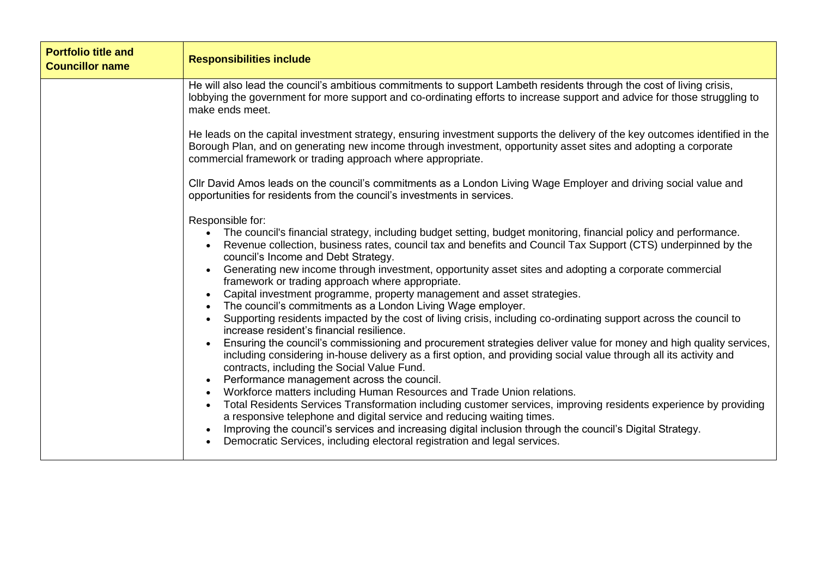| <b>Portfolio title and</b><br><b>Councillor name</b> | <b>Responsibilities include</b>                                                                                                                                                                                                                                                                                                                                                                                                                                                                                                                                                                                                                                                                                                                                                                                                                                                                                                                                                                                                                                                                                                                                                                                                                                                                                                                                                                                                                                                                                                                                                               |
|------------------------------------------------------|-----------------------------------------------------------------------------------------------------------------------------------------------------------------------------------------------------------------------------------------------------------------------------------------------------------------------------------------------------------------------------------------------------------------------------------------------------------------------------------------------------------------------------------------------------------------------------------------------------------------------------------------------------------------------------------------------------------------------------------------------------------------------------------------------------------------------------------------------------------------------------------------------------------------------------------------------------------------------------------------------------------------------------------------------------------------------------------------------------------------------------------------------------------------------------------------------------------------------------------------------------------------------------------------------------------------------------------------------------------------------------------------------------------------------------------------------------------------------------------------------------------------------------------------------------------------------------------------------|
|                                                      | He will also lead the council's ambitious commitments to support Lambeth residents through the cost of living crisis,<br>lobbying the government for more support and co-ordinating efforts to increase support and advice for those struggling to<br>make ends meet.                                                                                                                                                                                                                                                                                                                                                                                                                                                                                                                                                                                                                                                                                                                                                                                                                                                                                                                                                                                                                                                                                                                                                                                                                                                                                                                         |
|                                                      | He leads on the capital investment strategy, ensuring investment supports the delivery of the key outcomes identified in the<br>Borough Plan, and on generating new income through investment, opportunity asset sites and adopting a corporate<br>commercial framework or trading approach where appropriate.                                                                                                                                                                                                                                                                                                                                                                                                                                                                                                                                                                                                                                                                                                                                                                                                                                                                                                                                                                                                                                                                                                                                                                                                                                                                                |
|                                                      | CIIr David Amos leads on the council's commitments as a London Living Wage Employer and driving social value and<br>opportunities for residents from the council's investments in services.                                                                                                                                                                                                                                                                                                                                                                                                                                                                                                                                                                                                                                                                                                                                                                                                                                                                                                                                                                                                                                                                                                                                                                                                                                                                                                                                                                                                   |
|                                                      | Responsible for:<br>The council's financial strategy, including budget setting, budget monitoring, financial policy and performance.<br>Revenue collection, business rates, council tax and benefits and Council Tax Support (CTS) underpinned by the<br>council's Income and Debt Strategy.<br>Generating new income through investment, opportunity asset sites and adopting a corporate commercial<br>framework or trading approach where appropriate.<br>Capital investment programme, property management and asset strategies.<br>$\bullet$<br>The council's commitments as a London Living Wage employer.<br>Supporting residents impacted by the cost of living crisis, including co-ordinating support across the council to<br>increase resident's financial resilience.<br>Ensuring the council's commissioning and procurement strategies deliver value for money and high quality services,<br>including considering in-house delivery as a first option, and providing social value through all its activity and<br>contracts, including the Social Value Fund.<br>Performance management across the council.<br>Workforce matters including Human Resources and Trade Union relations.<br>Total Residents Services Transformation including customer services, improving residents experience by providing<br>a responsive telephone and digital service and reducing waiting times.<br>Improving the council's services and increasing digital inclusion through the council's Digital Strategy.<br>Democratic Services, including electoral registration and legal services. |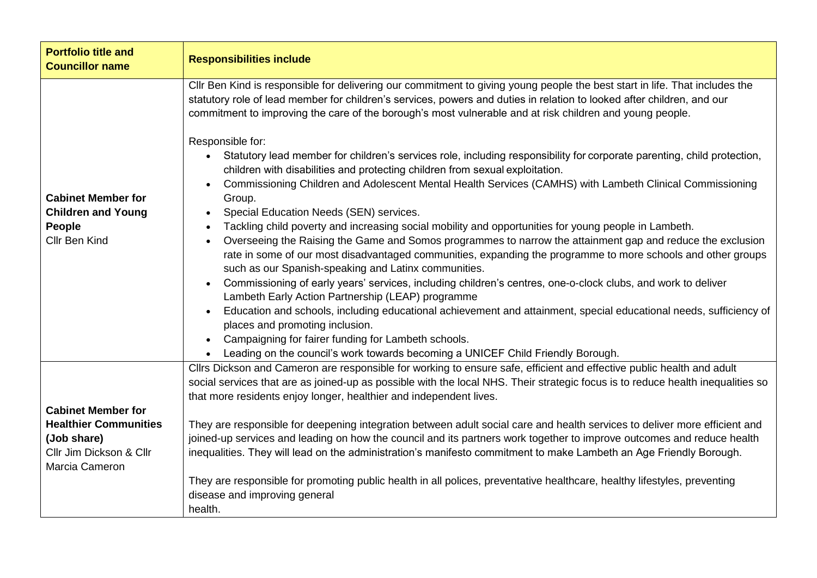| <b>Portfolio title and</b><br><b>Councillor name</b>                                     | <b>Responsibilities include</b>                                                                                                                                                                                                                                                                                                                                                                                                                                                                                                                                                                                                                                                                                                                                                                                                                                                                                                                                                                                                                                                                                                                                                                                                                                                                                                                                                                                                                                                                                                                                                                                                                      |
|------------------------------------------------------------------------------------------|------------------------------------------------------------------------------------------------------------------------------------------------------------------------------------------------------------------------------------------------------------------------------------------------------------------------------------------------------------------------------------------------------------------------------------------------------------------------------------------------------------------------------------------------------------------------------------------------------------------------------------------------------------------------------------------------------------------------------------------------------------------------------------------------------------------------------------------------------------------------------------------------------------------------------------------------------------------------------------------------------------------------------------------------------------------------------------------------------------------------------------------------------------------------------------------------------------------------------------------------------------------------------------------------------------------------------------------------------------------------------------------------------------------------------------------------------------------------------------------------------------------------------------------------------------------------------------------------------------------------------------------------------|
| <b>Cabinet Member for</b><br><b>Children and Young</b><br>People<br>Cllr Ben Kind        | Cllr Ben Kind is responsible for delivering our commitment to giving young people the best start in life. That includes the<br>statutory role of lead member for children's services, powers and duties in relation to looked after children, and our<br>commitment to improving the care of the borough's most vulnerable and at risk children and young people.<br>Responsible for:<br>Statutory lead member for children's services role, including responsibility for corporate parenting, child protection,<br>$\bullet$<br>children with disabilities and protecting children from sexual exploitation.<br>Commissioning Children and Adolescent Mental Health Services (CAMHS) with Lambeth Clinical Commissioning<br>Group.<br>Special Education Needs (SEN) services.<br>Tackling child poverty and increasing social mobility and opportunities for young people in Lambeth.<br>Overseeing the Raising the Game and Somos programmes to narrow the attainment gap and reduce the exclusion<br>rate in some of our most disadvantaged communities, expanding the programme to more schools and other groups<br>such as our Spanish-speaking and Latinx communities.<br>Commissioning of early years' services, including children's centres, one-o-clock clubs, and work to deliver<br>Lambeth Early Action Partnership (LEAP) programme<br>Education and schools, including educational achievement and attainment, special educational needs, sufficiency of<br>places and promoting inclusion.<br>Campaigning for fairer funding for Lambeth schools.<br>Leading on the council's work towards becoming a UNICEF Child Friendly Borough. |
| <b>Cabinet Member for</b>                                                                | Cllrs Dickson and Cameron are responsible for working to ensure safe, efficient and effective public health and adult<br>social services that are as joined-up as possible with the local NHS. Their strategic focus is to reduce health inequalities so<br>that more residents enjoy longer, healthier and independent lives.                                                                                                                                                                                                                                                                                                                                                                                                                                                                                                                                                                                                                                                                                                                                                                                                                                                                                                                                                                                                                                                                                                                                                                                                                                                                                                                       |
| <b>Healthier Communities</b><br>(Job share)<br>Cllr Jim Dickson & Cllr<br>Marcia Cameron | They are responsible for deepening integration between adult social care and health services to deliver more efficient and<br>joined-up services and leading on how the council and its partners work together to improve outcomes and reduce health<br>inequalities. They will lead on the administration's manifesto commitment to make Lambeth an Age Friendly Borough.                                                                                                                                                                                                                                                                                                                                                                                                                                                                                                                                                                                                                                                                                                                                                                                                                                                                                                                                                                                                                                                                                                                                                                                                                                                                           |
|                                                                                          | They are responsible for promoting public health in all polices, preventative healthcare, healthy lifestyles, preventing<br>disease and improving general<br>health.                                                                                                                                                                                                                                                                                                                                                                                                                                                                                                                                                                                                                                                                                                                                                                                                                                                                                                                                                                                                                                                                                                                                                                                                                                                                                                                                                                                                                                                                                 |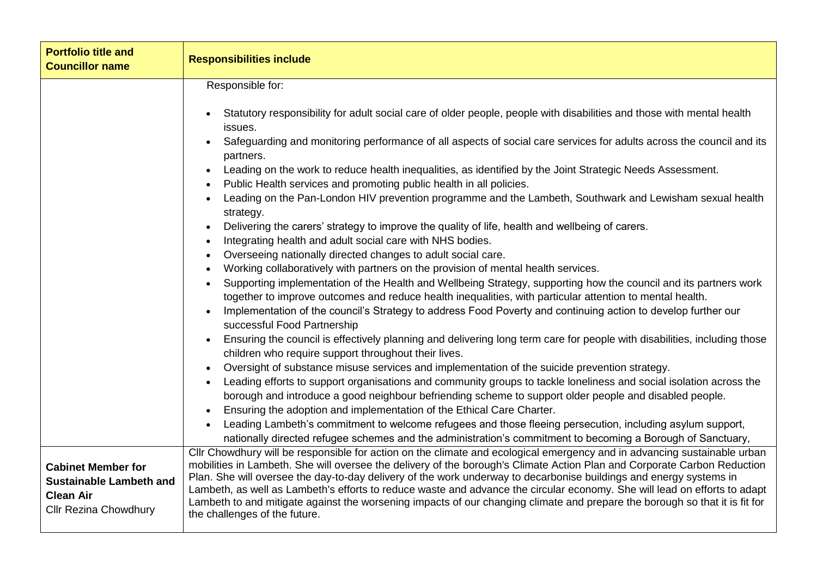| <b>Portfolio title and</b><br><b>Councillor name</b>                                                            | <b>Responsibilities include</b>                                                                                                                                                                                                                                                                                                                                                                                                                                                                                                                                                                                                                                                                                                                                                                                                                                                                                                                                                                                                                                                                                                                                                                                                                                                                                       |
|-----------------------------------------------------------------------------------------------------------------|-----------------------------------------------------------------------------------------------------------------------------------------------------------------------------------------------------------------------------------------------------------------------------------------------------------------------------------------------------------------------------------------------------------------------------------------------------------------------------------------------------------------------------------------------------------------------------------------------------------------------------------------------------------------------------------------------------------------------------------------------------------------------------------------------------------------------------------------------------------------------------------------------------------------------------------------------------------------------------------------------------------------------------------------------------------------------------------------------------------------------------------------------------------------------------------------------------------------------------------------------------------------------------------------------------------------------|
|                                                                                                                 | Responsible for:<br>Statutory responsibility for adult social care of older people, people with disabilities and those with mental health<br>issues.<br>Safeguarding and monitoring performance of all aspects of social care services for adults across the council and its<br>$\bullet$<br>partners.<br>Leading on the work to reduce health inequalities, as identified by the Joint Strategic Needs Assessment.<br>$\bullet$<br>Public Health services and promoting public health in all policies.<br>Leading on the Pan-London HIV prevention programme and the Lambeth, Southwark and Lewisham sexual health<br>strategy.<br>Delivering the carers' strategy to improve the quality of life, health and wellbeing of carers.<br>Integrating health and adult social care with NHS bodies.<br>Overseeing nationally directed changes to adult social care.<br>$\bullet$                                                                                                                                                                                                                                                                                                                                                                                                                                         |
|                                                                                                                 | Working collaboratively with partners on the provision of mental health services.<br>Supporting implementation of the Health and Wellbeing Strategy, supporting how the council and its partners work<br>together to improve outcomes and reduce health inequalities, with particular attention to mental health.<br>Implementation of the council's Strategy to address Food Poverty and continuing action to develop further our<br>successful Food Partnership<br>Ensuring the council is effectively planning and delivering long term care for people with disabilities, including those<br>$\bullet$<br>children who require support throughout their lives.<br>Oversight of substance misuse services and implementation of the suicide prevention strategy.<br>Leading efforts to support organisations and community groups to tackle loneliness and social isolation across the<br>borough and introduce a good neighbour befriending scheme to support older people and disabled people.<br>Ensuring the adoption and implementation of the Ethical Care Charter.<br>Leading Lambeth's commitment to welcome refugees and those fleeing persecution, including asylum support,<br>$\bullet$<br>nationally directed refugee schemes and the administration's commitment to becoming a Borough of Sanctuary, |
| <b>Cabinet Member for</b><br><b>Sustainable Lambeth and</b><br><b>Clean Air</b><br><b>Cllr Rezina Chowdhury</b> | Cllr Chowdhury will be responsible for action on the climate and ecological emergency and in advancing sustainable urban<br>mobilities in Lambeth. She will oversee the delivery of the borough's Climate Action Plan and Corporate Carbon Reduction<br>Plan. She will oversee the day-to-day delivery of the work underway to decarbonise buildings and energy systems in<br>Lambeth, as well as Lambeth's efforts to reduce waste and advance the circular economy. She will lead on efforts to adapt<br>Lambeth to and mitigate against the worsening impacts of our changing climate and prepare the borough so that it is fit for<br>the challenges of the future.                                                                                                                                                                                                                                                                                                                                                                                                                                                                                                                                                                                                                                               |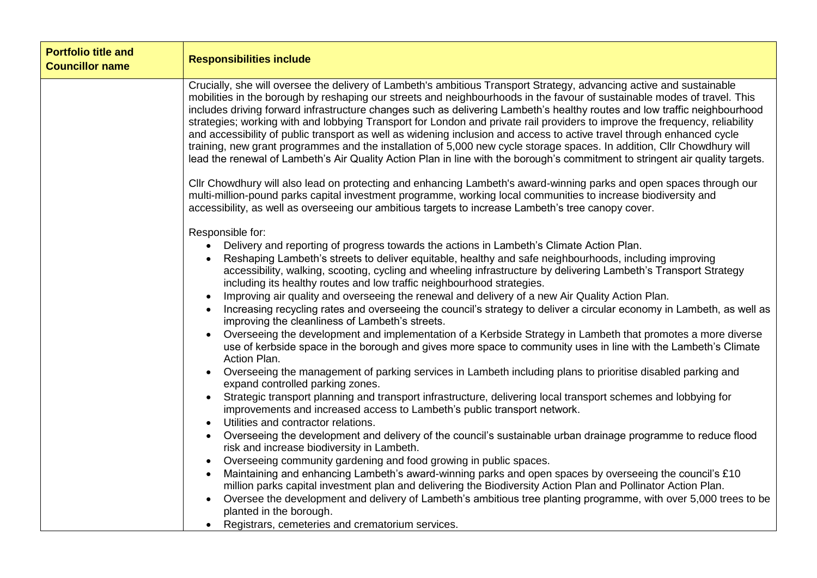| <b>Portfolio title and</b><br><b>Councillor name</b> | <b>Responsibilities include</b>                                                                                                                                                                                                                                                                                                                                                                                                                                                                                                                                                                                                                                                                                                                                                                                                                                                                                                                                                                                                                                                                                                                                                                                                                                                                                                                                                                                                                                                                                                                                                                                                                                                                           |
|------------------------------------------------------|-----------------------------------------------------------------------------------------------------------------------------------------------------------------------------------------------------------------------------------------------------------------------------------------------------------------------------------------------------------------------------------------------------------------------------------------------------------------------------------------------------------------------------------------------------------------------------------------------------------------------------------------------------------------------------------------------------------------------------------------------------------------------------------------------------------------------------------------------------------------------------------------------------------------------------------------------------------------------------------------------------------------------------------------------------------------------------------------------------------------------------------------------------------------------------------------------------------------------------------------------------------------------------------------------------------------------------------------------------------------------------------------------------------------------------------------------------------------------------------------------------------------------------------------------------------------------------------------------------------------------------------------------------------------------------------------------------------|
|                                                      | Crucially, she will oversee the delivery of Lambeth's ambitious Transport Strategy, advancing active and sustainable<br>mobilities in the borough by reshaping our streets and neighbourhoods in the favour of sustainable modes of travel. This<br>includes driving forward infrastructure changes such as delivering Lambeth's healthy routes and low traffic neighbourhood<br>strategies; working with and lobbying Transport for London and private rail providers to improve the frequency, reliability<br>and accessibility of public transport as well as widening inclusion and access to active travel through enhanced cycle<br>training, new grant programmes and the installation of 5,000 new cycle storage spaces. In addition, Cllr Chowdhury will<br>lead the renewal of Lambeth's Air Quality Action Plan in line with the borough's commitment to stringent air quality targets.                                                                                                                                                                                                                                                                                                                                                                                                                                                                                                                                                                                                                                                                                                                                                                                                        |
|                                                      | Cllr Chowdhury will also lead on protecting and enhancing Lambeth's award-winning parks and open spaces through our<br>multi-million-pound parks capital investment programme, working local communities to increase biodiversity and<br>accessibility, as well as overseeing our ambitious targets to increase Lambeth's tree canopy cover.                                                                                                                                                                                                                                                                                                                                                                                                                                                                                                                                                                                                                                                                                                                                                                                                                                                                                                                                                                                                                                                                                                                                                                                                                                                                                                                                                              |
|                                                      | Responsible for:<br>Delivery and reporting of progress towards the actions in Lambeth's Climate Action Plan.<br>$\bullet$<br>Reshaping Lambeth's streets to deliver equitable, healthy and safe neighbourhoods, including improving<br>accessibility, walking, scooting, cycling and wheeling infrastructure by delivering Lambeth's Transport Strategy<br>including its healthy routes and low traffic neighbourhood strategies.<br>Improving air quality and overseeing the renewal and delivery of a new Air Quality Action Plan.<br>Increasing recycling rates and overseeing the council's strategy to deliver a circular economy in Lambeth, as well as<br>improving the cleanliness of Lambeth's streets.<br>Overseeing the development and implementation of a Kerbside Strategy in Lambeth that promotes a more diverse<br>use of kerbside space in the borough and gives more space to community uses in line with the Lambeth's Climate<br>Action Plan.<br>Overseeing the management of parking services in Lambeth including plans to prioritise disabled parking and<br>expand controlled parking zones.<br>Strategic transport planning and transport infrastructure, delivering local transport schemes and lobbying for<br>improvements and increased access to Lambeth's public transport network.<br>Utilities and contractor relations.<br>Overseeing the development and delivery of the council's sustainable urban drainage programme to reduce flood<br>risk and increase biodiversity in Lambeth.<br>Overseeing community gardening and food growing in public spaces.<br>Maintaining and enhancing Lambeth's award-winning parks and open spaces by overseeing the council's £10 |
|                                                      | million parks capital investment plan and delivering the Biodiversity Action Plan and Pollinator Action Plan.<br>Oversee the development and delivery of Lambeth's ambitious tree planting programme, with over 5,000 trees to be<br>planted in the borough.<br>Registrars, cemeteries and crematorium services.                                                                                                                                                                                                                                                                                                                                                                                                                                                                                                                                                                                                                                                                                                                                                                                                                                                                                                                                                                                                                                                                                                                                                                                                                                                                                                                                                                                          |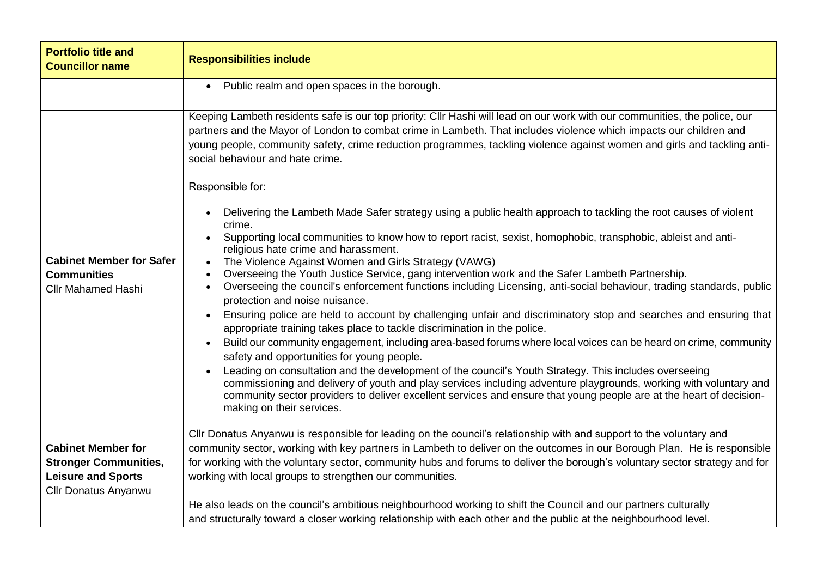| <b>Portfolio title and</b><br><b>Councillor name</b>                               | <b>Responsibilities include</b>                                                                                                                                                                                                                                                                                                                                                                                                                                                                                                                                                                                                                                                                                                                                                                                                                                                                                                                                                                                                                                                                                                                                                                                                                                                                                                                                                                                              |
|------------------------------------------------------------------------------------|------------------------------------------------------------------------------------------------------------------------------------------------------------------------------------------------------------------------------------------------------------------------------------------------------------------------------------------------------------------------------------------------------------------------------------------------------------------------------------------------------------------------------------------------------------------------------------------------------------------------------------------------------------------------------------------------------------------------------------------------------------------------------------------------------------------------------------------------------------------------------------------------------------------------------------------------------------------------------------------------------------------------------------------------------------------------------------------------------------------------------------------------------------------------------------------------------------------------------------------------------------------------------------------------------------------------------------------------------------------------------------------------------------------------------|
|                                                                                    | Public realm and open spaces in the borough.<br>$\bullet$                                                                                                                                                                                                                                                                                                                                                                                                                                                                                                                                                                                                                                                                                                                                                                                                                                                                                                                                                                                                                                                                                                                                                                                                                                                                                                                                                                    |
|                                                                                    | Keeping Lambeth residents safe is our top priority: Cllr Hashi will lead on our work with our communities, the police, our<br>partners and the Mayor of London to combat crime in Lambeth. That includes violence which impacts our children and<br>young people, community safety, crime reduction programmes, tackling violence against women and girls and tackling anti-<br>social behaviour and hate crime.                                                                                                                                                                                                                                                                                                                                                                                                                                                                                                                                                                                                                                                                                                                                                                                                                                                                                                                                                                                                             |
|                                                                                    | Responsible for:                                                                                                                                                                                                                                                                                                                                                                                                                                                                                                                                                                                                                                                                                                                                                                                                                                                                                                                                                                                                                                                                                                                                                                                                                                                                                                                                                                                                             |
| <b>Cabinet Member for Safer</b><br><b>Communities</b><br><b>Cllr Mahamed Hashi</b> | Delivering the Lambeth Made Safer strategy using a public health approach to tackling the root causes of violent<br>crime.<br>Supporting local communities to know how to report racist, sexist, homophobic, transphobic, ableist and anti-<br>religious hate crime and harassment.<br>The Violence Against Women and Girls Strategy (VAWG)<br>$\bullet$<br>Overseeing the Youth Justice Service, gang intervention work and the Safer Lambeth Partnership.<br>$\bullet$<br>Overseeing the council's enforcement functions including Licensing, anti-social behaviour, trading standards, public<br>$\bullet$<br>protection and noise nuisance.<br>Ensuring police are held to account by challenging unfair and discriminatory stop and searches and ensuring that<br>$\bullet$<br>appropriate training takes place to tackle discrimination in the police.<br>Build our community engagement, including area-based forums where local voices can be heard on crime, community<br>$\bullet$<br>safety and opportunities for young people.<br>Leading on consultation and the development of the council's Youth Strategy. This includes overseeing<br>commissioning and delivery of youth and play services including adventure playgrounds, working with voluntary and<br>community sector providers to deliver excellent services and ensure that young people are at the heart of decision-<br>making on their services. |
| <b>Cabinet Member for</b>                                                          | Cllr Donatus Anyanwu is responsible for leading on the council's relationship with and support to the voluntary and<br>community sector, working with key partners in Lambeth to deliver on the outcomes in our Borough Plan. He is responsible                                                                                                                                                                                                                                                                                                                                                                                                                                                                                                                                                                                                                                                                                                                                                                                                                                                                                                                                                                                                                                                                                                                                                                              |
| <b>Stronger Communities,</b><br><b>Leisure and Sports</b><br>Cllr Donatus Anyanwu  | for working with the voluntary sector, community hubs and forums to deliver the borough's voluntary sector strategy and for<br>working with local groups to strengthen our communities.                                                                                                                                                                                                                                                                                                                                                                                                                                                                                                                                                                                                                                                                                                                                                                                                                                                                                                                                                                                                                                                                                                                                                                                                                                      |
|                                                                                    | He also leads on the council's ambitious neighbourhood working to shift the Council and our partners culturally<br>and structurally toward a closer working relationship with each other and the public at the neighbourhood level.                                                                                                                                                                                                                                                                                                                                                                                                                                                                                                                                                                                                                                                                                                                                                                                                                                                                                                                                                                                                                                                                                                                                                                                          |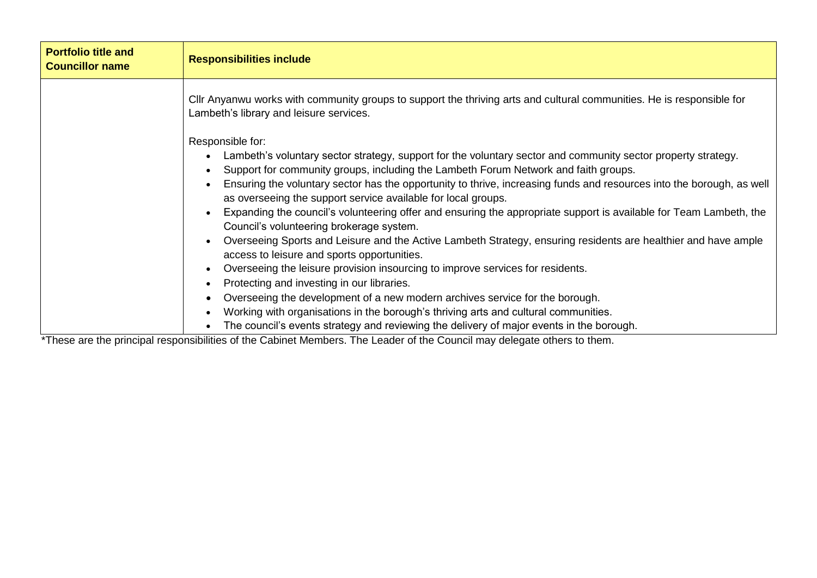| <b>Portfolio title and</b><br><b>Councillor name</b> | <b>Responsibilities include</b>                                                                                                                                                                                                                                                                                                                                                                                                                                                                                                                                                                                                                                                                        |
|------------------------------------------------------|--------------------------------------------------------------------------------------------------------------------------------------------------------------------------------------------------------------------------------------------------------------------------------------------------------------------------------------------------------------------------------------------------------------------------------------------------------------------------------------------------------------------------------------------------------------------------------------------------------------------------------------------------------------------------------------------------------|
|                                                      | CIIr Anyanwu works with community groups to support the thriving arts and cultural communities. He is responsible for<br>Lambeth's library and leisure services.                                                                                                                                                                                                                                                                                                                                                                                                                                                                                                                                       |
|                                                      | Responsible for:<br>Lambeth's voluntary sector strategy, support for the voluntary sector and community sector property strategy.<br>Support for community groups, including the Lambeth Forum Network and faith groups.<br>Ensuring the voluntary sector has the opportunity to thrive, increasing funds and resources into the borough, as well<br>as overseeing the support service available for local groups.<br>Expanding the council's volunteering offer and ensuring the appropriate support is available for Team Lambeth, the<br>Council's volunteering brokerage system.<br>Overseeing Sports and Leisure and the Active Lambeth Strategy, ensuring residents are healthier and have ample |
|                                                      | access to leisure and sports opportunities.<br>Overseeing the leisure provision insourcing to improve services for residents.                                                                                                                                                                                                                                                                                                                                                                                                                                                                                                                                                                          |
|                                                      | Protecting and investing in our libraries.<br>Overseeing the development of a new modern archives service for the borough.<br>Working with organisations in the borough's thriving arts and cultural communities.<br>The council's events strategy and reviewing the delivery of major events in the borough.                                                                                                                                                                                                                                                                                                                                                                                          |

\*These are the principal responsibilities of the Cabinet Members. The Leader of the Council may delegate others to them.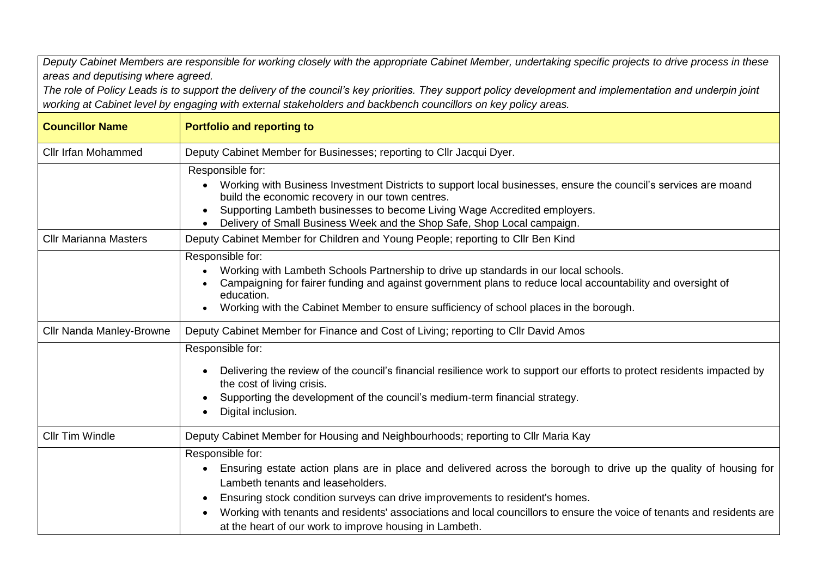*Deputy Cabinet Members are responsible for working closely with the appropriate Cabinet Member, undertaking specific projects to drive process in these areas and deputising where agreed.*

*The role of Policy Leads is to support the delivery of the council's key priorities. They support policy development and implementation and underpin joint working at Cabinet level by engaging with external stakeholders and backbench councillors on key policy areas.* 

| <b>Councillor Name</b>       | <b>Portfolio and reporting to</b>                                                                                                                                                                                                                                                                                                                                                                                                                |
|------------------------------|--------------------------------------------------------------------------------------------------------------------------------------------------------------------------------------------------------------------------------------------------------------------------------------------------------------------------------------------------------------------------------------------------------------------------------------------------|
| <b>Cllr Irfan Mohammed</b>   | Deputy Cabinet Member for Businesses; reporting to Cllr Jacqui Dyer.                                                                                                                                                                                                                                                                                                                                                                             |
|                              | Responsible for:<br>Working with Business Investment Districts to support local businesses, ensure the council's services are moand<br>build the economic recovery in our town centres.<br>Supporting Lambeth businesses to become Living Wage Accredited employers.<br>Delivery of Small Business Week and the Shop Safe, Shop Local campaign.                                                                                                  |
| <b>Cllr Marianna Masters</b> | Deputy Cabinet Member for Children and Young People; reporting to Cllr Ben Kind                                                                                                                                                                                                                                                                                                                                                                  |
|                              | Responsible for:<br>Working with Lambeth Schools Partnership to drive up standards in our local schools.<br>Campaigning for fairer funding and against government plans to reduce local accountability and oversight of<br>education.<br>Working with the Cabinet Member to ensure sufficiency of school places in the borough.                                                                                                                  |
| Cllr Nanda Manley-Browne     | Deputy Cabinet Member for Finance and Cost of Living; reporting to Cllr David Amos                                                                                                                                                                                                                                                                                                                                                               |
|                              | Responsible for:<br>Delivering the review of the council's financial resilience work to support our efforts to protect residents impacted by<br>the cost of living crisis.<br>Supporting the development of the council's medium-term financial strategy.<br>Digital inclusion.                                                                                                                                                                  |
| <b>Cllr Tim Windle</b>       | Deputy Cabinet Member for Housing and Neighbourhoods; reporting to Cllr Maria Kay                                                                                                                                                                                                                                                                                                                                                                |
|                              | Responsible for:<br>Ensuring estate action plans are in place and delivered across the borough to drive up the quality of housing for<br>Lambeth tenants and leaseholders.<br>Ensuring stock condition surveys can drive improvements to resident's homes.<br>Working with tenants and residents' associations and local councillors to ensure the voice of tenants and residents are<br>at the heart of our work to improve housing in Lambeth. |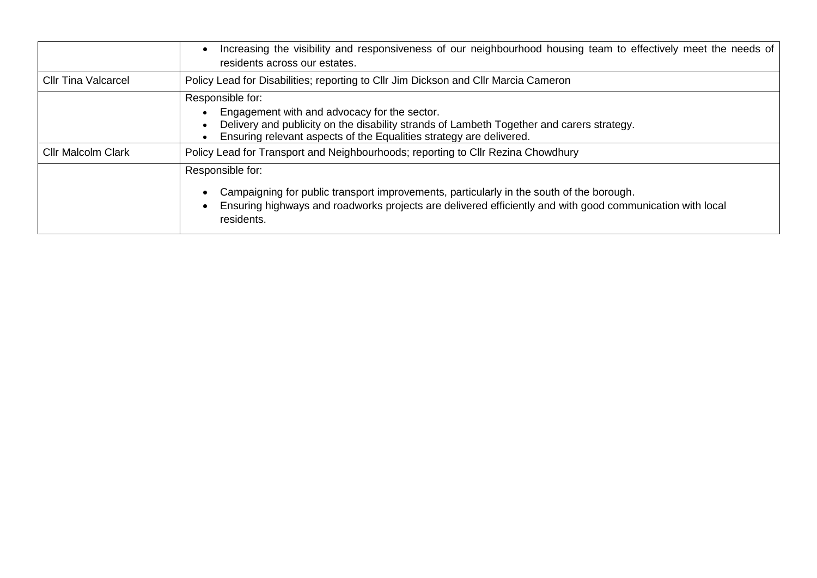|                            | Increasing the visibility and responsiveness of our neighbourhood housing team to effectively meet the needs of<br>residents across our estates.                                                                                        |
|----------------------------|-----------------------------------------------------------------------------------------------------------------------------------------------------------------------------------------------------------------------------------------|
| <b>Cllr Tina Valcarcel</b> | Policy Lead for Disabilities; reporting to Cllr Jim Dickson and Cllr Marcia Cameron                                                                                                                                                     |
|                            | Responsible for:<br>Engagement with and advocacy for the sector.<br>Delivery and publicity on the disability strands of Lambeth Together and carers strategy.<br>Ensuring relevant aspects of the Equalities strategy are delivered.    |
| <b>Cllr Malcolm Clark</b>  | Policy Lead for Transport and Neighbourhoods; reporting to Cllr Rezina Chowdhury                                                                                                                                                        |
|                            | Responsible for:<br>Campaigning for public transport improvements, particularly in the south of the borough.<br>Ensuring highways and roadworks projects are delivered efficiently and with good communication with local<br>residents. |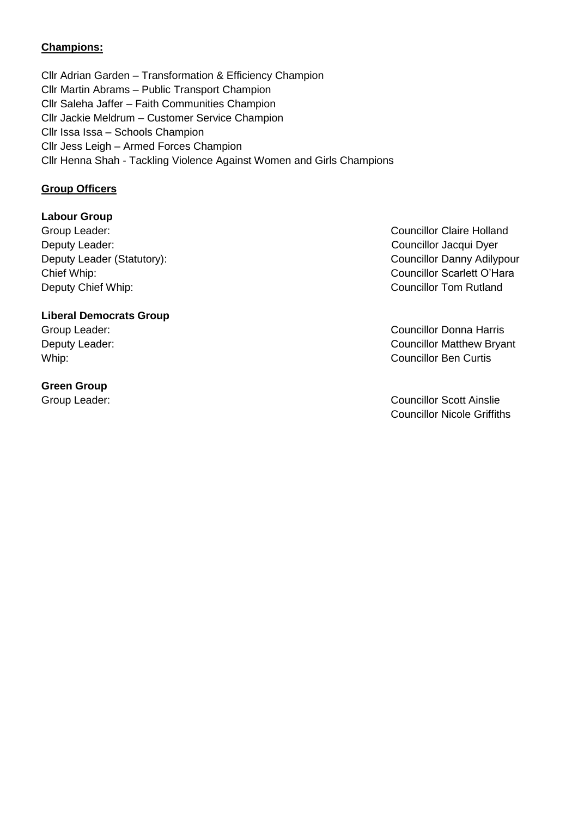# **Champions:**

Cllr Adrian Garden – Transformation & Efficiency Champion Cllr Martin Abrams – Public Transport Champion Cllr Saleha Jaffer – Faith Communities Champion Cllr Jackie Meldrum – Customer Service Champion Cllr Issa Issa – Schools Champion Cllr Jess Leigh – Armed Forces Champion Cllr Henna Shah - Tackling Violence Against Women and Girls Champions

### **Group Officers**

### **Labour Group**

Group Leader: Councillor Claire Holland Deputy Leader: Councillor Jacqui Dyer Chief Whip: Councillor Scarlett O'Hara Deputy Chief Whip: Councillor Tom Rutland

#### **Liberal Democrats Group**

#### **Green Group**

Deputy Leader (Statutory): Councillor Danny Adilypour

Group Leader: Councillor Donna Harris Deputy Leader: Councillor Matthew Bryant Whip: **Councillor Ben Curtis** 

Group Leader: Councillor Scott Ainslie Councillor Nicole Griffiths